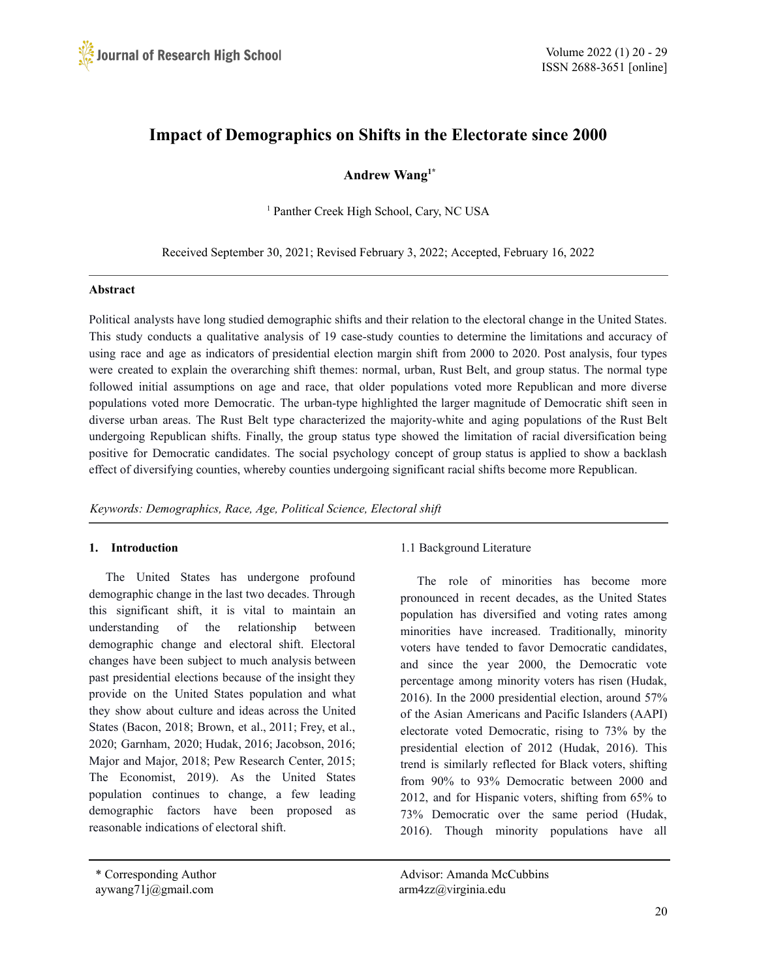

# **Impact of Demographics on Shifts in the Electorate since 2000**

**Andrew Wang 1\***

<sup>1</sup> Panther Creek High School, Cary, NC USA

Received September 30, 2021; Revised February 3, 2022; Accepted, February 16, 2022

#### **Abstract**

Political analysts have long studied demographic shifts and their relation to the electoral change in the United States. This study conducts a qualitative analysis of 19 case-study counties to determine the limitations and accuracy of using race and age as indicators of presidential election margin shift from 2000 to 2020. Post analysis, four types were created to explain the overarching shift themes: normal, urban, Rust Belt, and group status. The normal type followed initial assumptions on age and race, that older populations voted more Republican and more diverse populations voted more Democratic. The urban-type highlighted the larger magnitude of Democratic shift seen in diverse urban areas. The Rust Belt type characterized the majority-white and aging populations of the Rust Belt undergoing Republican shifts. Finally, the group status type showed the limitation of racial diversification being positive for Democratic candidates. The social psychology concept of group status is applied to show a backlash effect of diversifying counties, whereby counties undergoing significant racial shifts become more Republican.

*Keywords: Demographics, Race, Age, Political Science, Electoral shift*

### **1. Introduction**

The United States has undergone profound demographic change in the last two decades. Through this significant shift, it is vital to maintain an understanding of the relationship between demographic change and electoral shift. Electoral changes have been subject to much analysis between past presidential elections because of the insight they provide on the United States population and what they show about culture and ideas across the United States (Bacon, 2018; Brown, et al., 2011; Frey, et al., 2020; Garnham, 2020; Hudak, 2016; Jacobson, 2016; Major and Major, 2018; Pew Research Center, 2015; The Economist, 2019). As the United States population continues to change, a few leading demographic factors have been proposed as reasonable indications of electoral shift.

The role of minorities has become more pronounced in recent decades, as the United States population has diversified and voting rates among minorities have increased. Traditionally, minority voters have tended to favor Democratic candidates, and since the year 2000, the Democratic vote percentage among minority voters has risen (Hudak, 2016). In the 2000 presidential election, around 57% of the Asian Americans and Pacific Islanders (AAPI) electorate voted Democratic, rising to 73% by the presidential election of 2012 (Hudak, 2016). This trend is similarly reflected for Black voters, shifting from 90% to 93% Democratic between 2000 and 2012, and for Hispanic voters, shifting from 65% to 73% Democratic over the same period (Hudak, 2016). Though minority populations have all

\* Corresponding Author Advisor: Amanda McCubbins

<sup>1.1</sup> Background Literature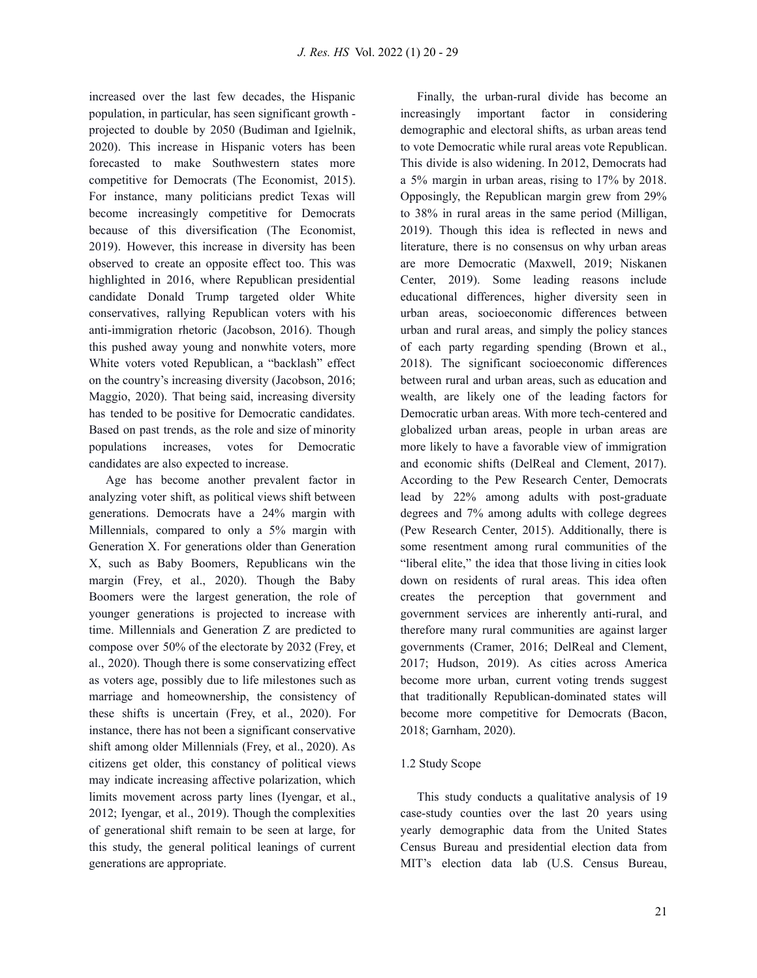increased over the last few decades, the Hispanic population, in particular, has seen significant growth projected to double by 2050 (Budiman and Igielnik, 2020). This increase in Hispanic voters has been forecasted to make Southwestern states more competitive for Democrats (The Economist, 2015). For instance, many politicians predict Texas will become increasingly competitive for Democrats because of this diversification (The Economist, 2019). However, this increase in diversity has been observed to create an opposite effect too. This was highlighted in 2016, where Republican presidential candidate Donald Trump targeted older White conservatives, rallying Republican voters with his anti-immigration rhetoric (Jacobson, 2016). Though this pushed away young and nonwhite voters, more White voters voted Republican, a "backlash" effect on the country's increasing diversity (Jacobson, 2016; Maggio, 2020). That being said, increasing diversity has tended to be positive for Democratic candidates. Based on past trends, as the role and size of minority populations increases, votes for Democratic candidates are also expected to increase.

Age has become another prevalent factor in analyzing voter shift, as political views shift between generations. Democrats have a 24% margin with Millennials, compared to only a 5% margin with Generation X. For generations older than Generation X, such as Baby Boomers, Republicans win the margin (Frey, et al., 2020). Though the Baby Boomers were the largest generation, the role of younger generations is projected to increase with time. Millennials and Generation Z are predicted to compose over 50% of the electorate by 2032 (Frey, et al., 2020). Though there is some conservatizing effect as voters age, possibly due to life milestones such as marriage and homeownership, the consistency of these shifts is uncertain (Frey, et al., 2020). For instance, there has not been a significant conservative shift among older Millennials (Frey, et al., 2020). As citizens get older, this constancy of political views may indicate increasing affective polarization, which limits movement across party lines (Iyengar, et al., 2012; Iyengar, et al., 2019). Though the complexities of generational shift remain to be seen at large, for this study, the general political leanings of current generations are appropriate.

Finally, the urban-rural divide has become an increasingly important factor in considering demographic and electoral shifts, as urban areas tend to vote Democratic while rural areas vote Republican. This divide is also widening. In 2012, Democrats had a 5% margin in urban areas, rising to 17% by 2018. Opposingly, the Republican margin grew from 29% to 38% in rural areas in the same period (Milligan, 2019). Though this idea is reflected in news and literature, there is no consensus on why urban areas are more Democratic (Maxwell, 2019; Niskanen Center, 2019). Some leading reasons include educational differences, higher diversity seen in urban areas, socioeconomic differences between urban and rural areas, and simply the policy stances of each party regarding spending (Brown et al., 2018). The significant socioeconomic differences between rural and urban areas, such as education and wealth, are likely one of the leading factors for Democratic urban areas. With more tech-centered and globalized urban areas, people in urban areas are more likely to have a favorable view of immigration and economic shifts (DelReal and Clement, 2017). According to the Pew Research Center, Democrats lead by 22% among adults with post-graduate degrees and 7% among adults with college degrees (Pew Research Center, 2015). Additionally, there is some resentment among rural communities of the "liberal elite," the idea that those living in cities look down on residents of rural areas. This idea often creates the perception that government and government services are inherently anti-rural, and therefore many rural communities are against larger governments (Cramer, 2016; DelReal and Clement, 2017; Hudson, 2019). As cities across America become more urban, current voting trends suggest that traditionally Republican-dominated states will become more competitive for Democrats (Bacon, 2018; Garnham, 2020).

### 1.2 Study Scope

This study conducts a qualitative analysis of 19 case-study counties over the last 20 years using yearly demographic data from the United States Census Bureau and presidential election data from MIT's election data lab (U.S. Census Bureau,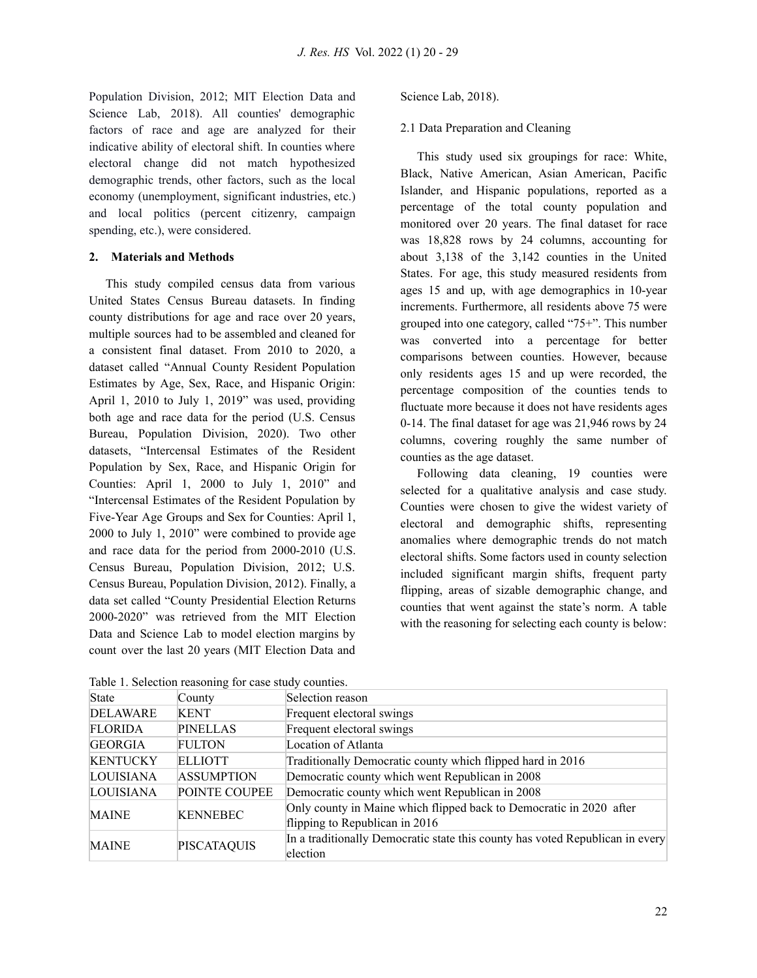Population Division, 2012; MIT Election Data and Science Lab, 2018). All counties' demographic factors of race and age are analyzed for their indicative ability of electoral shift. In counties where electoral change did not match hypothesized demographic trends, other factors, such as the local economy (unemployment, significant industries, etc.) and local politics (percent citizenry, campaign spending, etc.), were considered.

#### **2. Materials and Methods**

This study compiled census data from various United States Census Bureau datasets. In finding county distributions for age and race over 20 years, multiple sources had to be assembled and cleaned for a consistent final dataset. From 2010 to 2020, a dataset called "Annual County Resident Population Estimates by Age, Sex, Race, and Hispanic Origin: April 1, 2010 to July 1, 2019" was used, providing both age and race data for the period (U.S. Census Bureau, Population Division, 2020). Two other datasets, "Intercensal Estimates of the Resident Population by Sex, Race, and Hispanic Origin for Counties: April 1, 2000 to July 1, 2010" and "Intercensal Estimates of the Resident Population by Five-Year Age Groups and Sex for Counties: April 1, 2000 to July 1, 2010" were combined to provide age and race data for the period from 2000-2010 (U.S. Census Bureau, Population Division, 2012; U.S. Census Bureau, Population Division, 2012). Finally, a data set called "County Presidential Election Returns 2000-2020" was retrieved from the MIT Election Data and Science Lab to model election margins by count over the last 20 years (MIT Election Data and

Science Lab, 2018).

#### 2.1 Data Preparation and Cleaning

This study used six groupings for race: White, Black, Native American, Asian American, Pacific Islander, and Hispanic populations, reported as a percentage of the total county population and monitored over 20 years. The final dataset for race was 18,828 rows by 24 columns, accounting for about 3,138 of the 3,142 counties in the United States. For age, this study measured residents from ages 15 and up, with age demographics in 10-year increments. Furthermore, all residents above 75 were grouped into one category, called "75+". This number was converted into a percentage for better comparisons between counties. However, because only residents ages 15 and up were recorded, the percentage composition of the counties tends to fluctuate more because it does not have residents ages 0-14. The final dataset for age was 21,946 rows by 24 columns, covering roughly the same number of counties as the age dataset.

Following data cleaning, 19 counties were selected for a qualitative analysis and case study. Counties were chosen to give the widest variety of electoral and demographic shifts, representing anomalies where demographic trends do not match electoral shifts. Some factors used in county selection included significant margin shifts, frequent party flipping, areas of sizable demographic change, and counties that went against the state's norm. A table with the reasoning for selecting each county is below:

| State           | County             | Selection reason                                                                                      |
|-----------------|--------------------|-------------------------------------------------------------------------------------------------------|
| <b>DELAWARE</b> | <b>KENT</b>        | Frequent electoral swings                                                                             |
| <b>FLORIDA</b>  | <b>PINELLAS</b>    | Frequent electoral swings                                                                             |
| <b>GEORGIA</b>  | FULTON             | Location of Atlanta                                                                                   |
| <b>KENTUCKY</b> | ELLIOTT            | Traditionally Democratic county which flipped hard in 2016                                            |
| LOUISIANA       | <b>ASSUMPTION</b>  | Democratic county which went Republican in 2008                                                       |
| LOUISIANA       | POINTE COUPEE      | Democratic county which went Republican in 2008                                                       |
| <b>MAINE</b>    | <b>KENNEBEC</b>    | Only county in Maine which flipped back to Democratic in 2020 after<br>flipping to Republican in 2016 |
| <b>MAINE</b>    | <b>PISCATAQUIS</b> | In a traditionally Democratic state this county has voted Republican in every<br>election             |

Table 1. Selection reasoning for case study counties.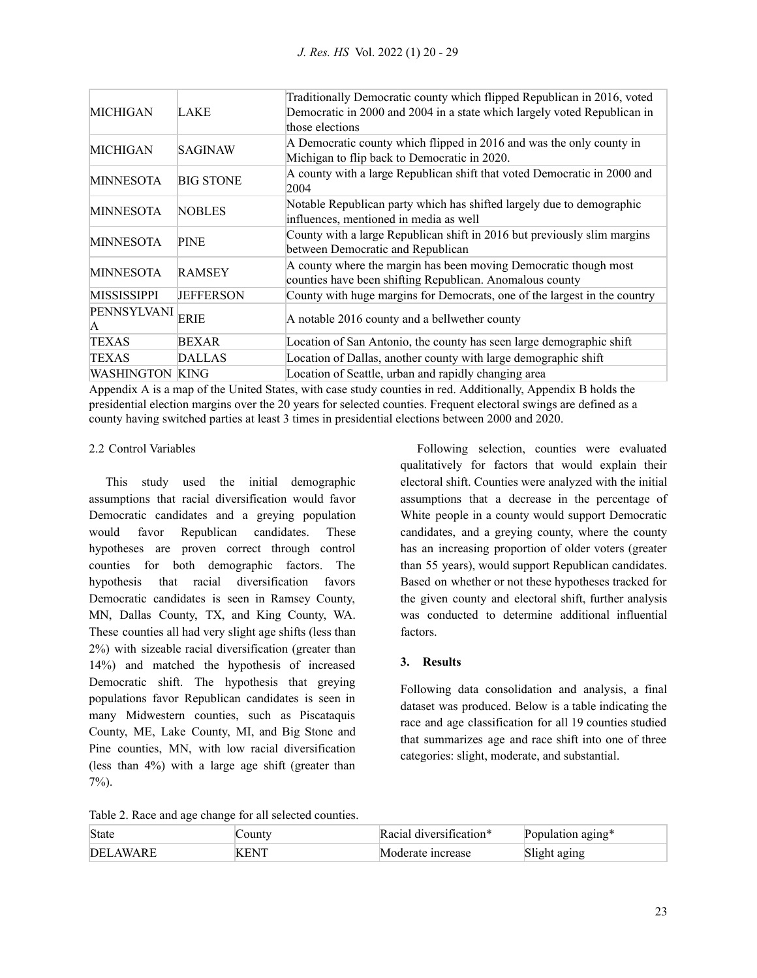| MICHIGAN               | LAKE             | Traditionally Democratic county which flipped Republican in 2016, voted<br>Democratic in 2000 and 2004 in a state which largely voted Republican in<br>those elections |  |
|------------------------|------------------|------------------------------------------------------------------------------------------------------------------------------------------------------------------------|--|
| <b>MICHIGAN</b>        | SAGINAW          | A Democratic county which flipped in 2016 and was the only county in<br>Michigan to flip back to Democratic in 2020.                                                   |  |
| <b>MINNESOTA</b>       | <b>BIG STONE</b> | A county with a large Republican shift that voted Democratic in 2000 and<br>2004                                                                                       |  |
| <b>MINNESOTA</b>       | <b>NOBLES</b>    | Notable Republican party which has shifted largely due to demographic<br>influences, mentioned in media as well                                                        |  |
| <b>MINNESOTA</b>       | <b>PINE</b>      | County with a large Republican shift in 2016 but previously slim margins<br>between Democratic and Republican                                                          |  |
| <b>MINNESOTA</b>       | <b>RAMSEY</b>    | A county where the margin has been moving Democratic though most<br>counties have been shifting Republican. Anomalous county                                           |  |
| <b>MISSISSIPPI</b>     | <b>JEFFERSON</b> | County with huge margins for Democrats, one of the largest in the country                                                                                              |  |
| PENNSYLVANI<br>IA.     | <b>ERIE</b>      | A notable 2016 county and a bellwether county                                                                                                                          |  |
| <b>TEXAS</b>           | BEXAR            | Location of San Antonio, the county has seen large demographic shift                                                                                                   |  |
| <b>TEXAS</b>           | DALLAS           | Location of Dallas, another county with large demographic shift                                                                                                        |  |
| <b>WASHINGTON KING</b> |                  | Location of Seattle, urban and rapidly changing area                                                                                                                   |  |

Appendix A is a map of the United States, with case study counties in red. Additionally, Appendix B holds the presidential election margins over the 20 years for selected counties. Frequent electoral swings are defined as a county having switched parties at least 3 times in presidential elections between 2000 and 2020.

# 2.2 Control Variables

This study used the initial demographic assumptions that racial diversification would favor Democratic candidates and a greying population would favor Republican candidates. These hypotheses are proven correct through control counties for both demographic factors. The hypothesis that racial diversification favors Democratic candidates is seen in Ramsey County, MN, Dallas County, TX, and King County, WA. These counties all had very slight age shifts (less than 2%) with sizeable racial diversification (greater than 14%) and matched the hypothesis of increased Democratic shift. The hypothesis that greying populations favor Republican candidates is seen in many Midwestern counties, such as Piscataquis County, ME, Lake County, MI, and Big Stone and Pine counties, MN, with low racial diversification (less than 4%) with a large age shift (greater than 7%).

Following selection, counties were evaluated qualitatively for factors that would explain their electoral shift. Counties were analyzed with the initial assumptions that a decrease in the percentage of White people in a county would support Democratic candidates, and a greying county, where the county has an increasing proportion of older voters (greater than 55 years), would support Republican candidates. Based on whether or not these hypotheses tracked for the given county and electoral shift, further analysis was conducted to determine additional influential factors.

# **3. Results**

Following data consolidation and analysis, a final dataset was produced. Below is a table indicating the race and age classification for all 19 counties studied that summarizes age and race shift into one of three categories: slight, moderate, and substantial.

Table 2. Race and age change for all selected counties.

| State     | ounty | $diversitication*$ | Population aging* |
|-----------|-------|--------------------|-------------------|
| DEI AWARE | . /NT | Moderate increase  |                   |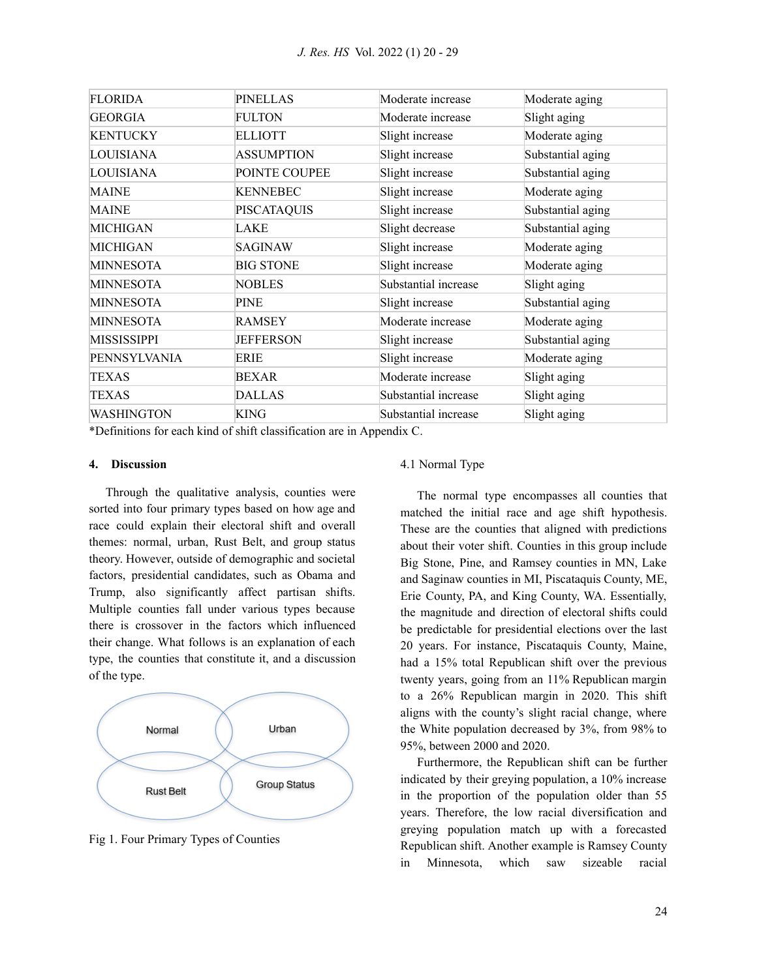| <b>FLORIDA</b>    | PINELLAS          | Moderate increase    | Moderate aging    |
|-------------------|-------------------|----------------------|-------------------|
| <b>GEORGIA</b>    | <b>FULTON</b>     | Moderate increase    | Slight aging      |
| <b>KENTUCKY</b>   | <b>ELLIOTT</b>    | Slight increase      | Moderate aging    |
| <b>LOUISIANA</b>  | <b>ASSUMPTION</b> | Slight increase      | Substantial aging |
| LOUISIANA         | POINTE COUPEE     | Slight increase      | Substantial aging |
| <b>MAINE</b>      | KENNEBEC          | Slight increase      | Moderate aging    |
| <b>MAINE</b>      | PISCATAQUIS       | Slight increase      | Substantial aging |
| MICHIGAN          | LAKE              | Slight decrease      | Substantial aging |
| MICHIGAN          | SAGINAW           | Slight increase      | Moderate aging    |
| <b>MINNESOTA</b>  | <b>BIG STONE</b>  | Slight increase      | Moderate aging    |
| <b>MINNESOTA</b>  | <b>NOBLES</b>     | Substantial increase | Slight aging      |
| <b>MINNESOTA</b>  | PINE              | Slight increase      | Substantial aging |
| <b>MINNESOTA</b>  | <b>RAMSEY</b>     | Moderate increase    | Moderate aging    |
| MISSISSIPPI       | <b>JEFFERSON</b>  | Slight increase      | Substantial aging |
| PENNSYLVANIA      | ERIE              | Slight increase      | Moderate aging    |
| <b>TEXAS</b>      | BEXAR             | Moderate increase    | Slight aging      |
| TEXAS             | DALLAS            | Substantial increase | Slight aging      |
| <b>WASHINGTON</b> | KING              | Substantial increase | Slight aging      |

\*Definitions for each kind of shift classification are in Appendix C.

#### **4. Discussion**

Through the qualitative analysis, counties were sorted into four primary types based on how age and race could explain their electoral shift and overall themes: normal, urban, Rust Belt, and group status theory. However, outside of demographic and societal factors, presidential candidates, such as Obama and Trump, also significantly affect partisan shifts. Multiple counties fall under various types because there is crossover in the factors which influenced their change. What follows is an explanation of each type, the counties that constitute it, and a discussion of the type.



Fig 1. Four Primary Types of Counties

#### 4.1 Normal Type

The normal type encompasses all counties that matched the initial race and age shift hypothesis. These are the counties that aligned with predictions about their voter shift. Counties in this group include Big Stone, Pine, and Ramsey counties in MN, Lake and Saginaw counties in MI, Piscataquis County, ME, Erie County, PA, and King County, WA. Essentially, the magnitude and direction of electoral shifts could be predictable for presidential elections over the last 20 years. For instance, Piscataquis County, Maine, had a 15% total Republican shift over the previous twenty years, going from an 11% Republican margin to a 26% Republican margin in 2020. This shift aligns with the county's slight racial change, where the White population decreased by 3%, from 98% to 95%, between 2000 and 2020.

Furthermore, the Republican shift can be further indicated by their greying population, a 10% increase in the proportion of the population older than 55 years. Therefore, the low racial diversification and greying population match up with a forecasted Republican shift. Another example is Ramsey County in Minnesota, which saw sizeable racial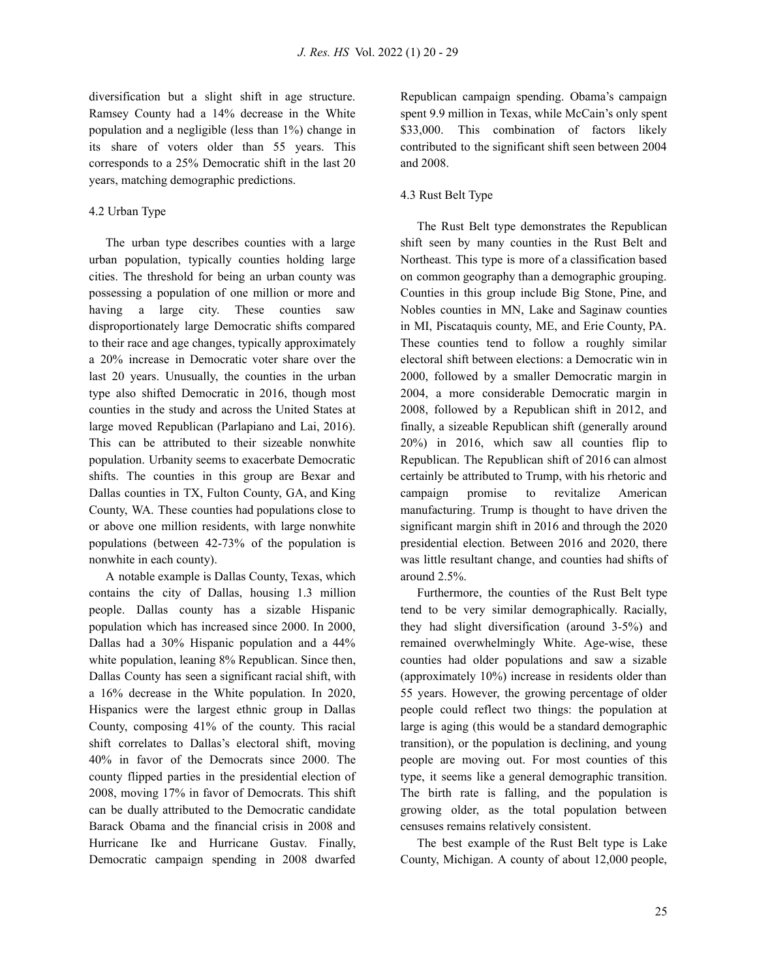diversification but a slight shift in age structure. Ramsey County had a 14% decrease in the White population and a negligible (less than 1%) change in its share of voters older than 55 years. This corresponds to a 25% Democratic shift in the last 20 years, matching demographic predictions.

#### 4.2 Urban Type

The urban type describes counties with a large urban population, typically counties holding large cities. The threshold for being an urban county was possessing a population of one million or more and having a large city. These counties saw disproportionately large Democratic shifts compared to their race and age changes, typically approximately a 20% increase in Democratic voter share over the last 20 years. Unusually, the counties in the urban type also shifted Democratic in 2016, though most counties in the study and across the United States at large moved Republican (Parlapiano and Lai, 2016). This can be attributed to their sizeable nonwhite population. Urbanity seems to exacerbate Democratic shifts. The counties in this group are Bexar and Dallas counties in TX, Fulton County, GA, and King County, WA. These counties had populations close to or above one million residents, with large nonwhite populations (between 42-73% of the population is nonwhite in each county).

A notable example is Dallas County, Texas, which contains the city of Dallas, housing 1.3 million people. Dallas county has a sizable Hispanic population which has increased since 2000. In 2000, Dallas had a 30% Hispanic population and a 44% white population, leaning 8% Republican. Since then, Dallas County has seen a significant racial shift, with a 16% decrease in the White population. In 2020, Hispanics were the largest ethnic group in Dallas County, composing 41% of the county. This racial shift correlates to Dallas's electoral shift, moving 40% in favor of the Democrats since 2000. The county flipped parties in the presidential election of 2008, moving 17% in favor of Democrats. This shift can be dually attributed to the Democratic candidate Barack Obama and the financial crisis in 2008 and Hurricane Ike and Hurricane Gustav. Finally, Democratic campaign spending in 2008 dwarfed

Republican campaign spending. Obama's campaign spent 9.9 million in Texas, while McCain's only spent \$33,000. This combination of factors likely contributed to the significant shift seen between 2004 and 2008.

#### 4.3 Rust Belt Type

The Rust Belt type demonstrates the Republican shift seen by many counties in the Rust Belt and Northeast. This type is more of a classification based on common geography than a demographic grouping. Counties in this group include Big Stone, Pine, and Nobles counties in MN, Lake and Saginaw counties in MI, Piscataquis county, ME, and Erie County, PA. These counties tend to follow a roughly similar electoral shift between elections: a Democratic win in 2000, followed by a smaller Democratic margin in 2004, a more considerable Democratic margin in 2008, followed by a Republican shift in 2012, and finally, a sizeable Republican shift (generally around 20%) in 2016, which saw all counties flip to Republican. The Republican shift of 2016 can almost certainly be attributed to Trump, with his rhetoric and campaign promise to revitalize American manufacturing. Trump is thought to have driven the significant margin shift in 2016 and through the 2020 presidential election. Between 2016 and 2020, there was little resultant change, and counties had shifts of around 2.5%.

Furthermore, the counties of the Rust Belt type tend to be very similar demographically. Racially, they had slight diversification (around 3-5%) and remained overwhelmingly White. Age-wise, these counties had older populations and saw a sizable (approximately 10%) increase in residents older than 55 years. However, the growing percentage of older people could reflect two things: the population at large is aging (this would be a standard demographic transition), or the population is declining, and young people are moving out. For most counties of this type, it seems like a general demographic transition. The birth rate is falling, and the population is growing older, as the total population between censuses remains relatively consistent.

The best example of the Rust Belt type is Lake County, Michigan. A county of about 12,000 people,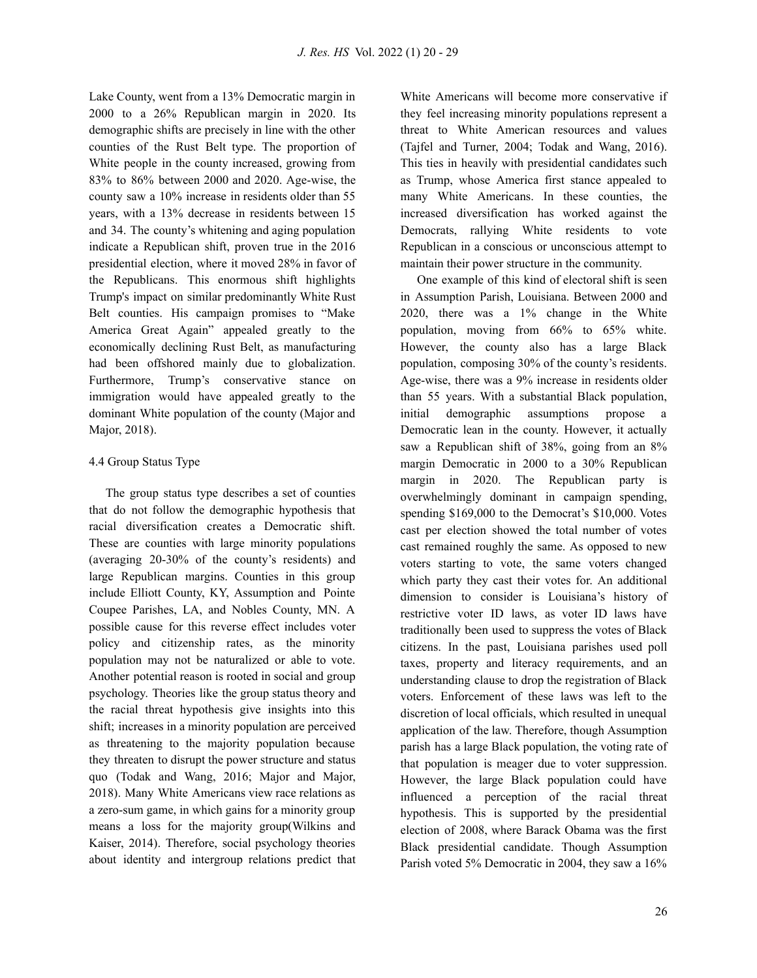Lake County, went from a 13% Democratic margin in 2000 to a 26% Republican margin in 2020. Its demographic shifts are precisely in line with the other counties of the Rust Belt type. The proportion of White people in the county increased, growing from 83% to 86% between 2000 and 2020. Age-wise, the county saw a 10% increase in residents older than 55 years, with a 13% decrease in residents between 15 and 34. The county's whitening and aging population indicate a Republican shift, proven true in the 2016 presidential election, where it moved 28% in favor of the Republicans. This enormous shift highlights Trump's impact on similar predominantly White Rust Belt counties. His campaign promises to "Make America Great Again" appealed greatly to the economically declining Rust Belt, as manufacturing had been offshored mainly due to globalization. Furthermore, Trump's conservative stance on immigration would have appealed greatly to the dominant White population of the county (Major and Major, 2018).

### 4.4 Group Status Type

The group status type describes a set of counties that do not follow the demographic hypothesis that racial diversification creates a Democratic shift. These are counties with large minority populations (averaging 20-30% of the county's residents) and large Republican margins. Counties in this group include Elliott County, KY, Assumption and Pointe Coupee Parishes, LA, and Nobles County, MN. A possible cause for this reverse effect includes voter policy and citizenship rates, as the minority population may not be naturalized or able to vote. Another potential reason is rooted in social and group psychology. Theories like the group status theory and the racial threat hypothesis give insights into this shift; increases in a minority population are perceived as threatening to the majority population because they threaten to disrupt the power structure and status quo (Todak and Wang, 2016; Major and Major, 2018). Many White Americans view race relations as a zero-sum game, in which gains for a minority group means a loss for the majority group(Wilkins and Kaiser, 2014). Therefore, social psychology theories about identity and intergroup relations predict that White Americans will become more conservative if they feel increasing minority populations represent a threat to White American resources and values (Tajfel and Turner, 2004; Todak and Wang, 2016). This ties in heavily with presidential candidates such as Trump, whose America first stance appealed to many White Americans. In these counties, the increased diversification has worked against the Democrats, rallying White residents to vote Republican in a conscious or unconscious attempt to maintain their power structure in the community.

One example of this kind of electoral shift is seen in Assumption Parish, Louisiana. Between 2000 and 2020, there was a 1% change in the White population, moving from 66% to 65% white. However, the county also has a large Black population, composing 30% of the county's residents. Age-wise, there was a 9% increase in residents older than 55 years. With a substantial Black population, initial demographic assumptions propose a Democratic lean in the county. However, it actually saw a Republican shift of 38%, going from an 8% margin Democratic in 2000 to a 30% Republican margin in 2020. The Republican party is overwhelmingly dominant in campaign spending, spending \$169,000 to the Democrat's \$10,000. Votes cast per election showed the total number of votes cast remained roughly the same. As opposed to new voters starting to vote, the same voters changed which party they cast their votes for. An additional dimension to consider is Louisiana's history of restrictive voter ID laws, as voter ID laws have traditionally been used to suppress the votes of Black citizens. In the past, Louisiana parishes used poll taxes, property and literacy requirements, and an understanding clause to drop the registration of Black voters. Enforcement of these laws was left to the discretion of local officials, which resulted in unequal application of the law. Therefore, though Assumption parish has a large Black population, the voting rate of that population is meager due to voter suppression. However, the large Black population could have influenced a perception of the racial threat hypothesis. This is supported by the presidential election of 2008, where Barack Obama was the first Black presidential candidate. Though Assumption Parish voted 5% Democratic in 2004, they saw a 16%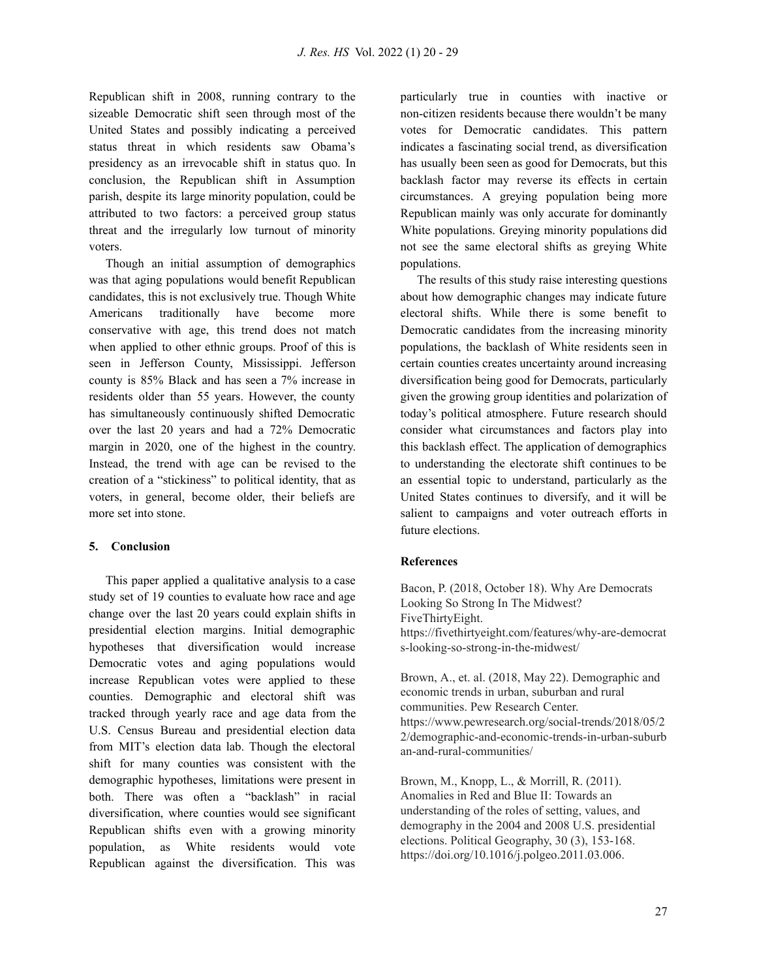Republican shift in 2008, running contrary to the sizeable Democratic shift seen through most of the United States and possibly indicating a perceived status threat in which residents saw Obama's presidency as an irrevocable shift in status quo. In conclusion, the Republican shift in Assumption parish, despite its large minority population, could be attributed to two factors: a perceived group status threat and the irregularly low turnout of minority voters.

Though an initial assumption of demographics was that aging populations would benefit Republican candidates, this is not exclusively true. Though White Americans traditionally have become more conservative with age, this trend does not match when applied to other ethnic groups. Proof of this is seen in Jefferson County, Mississippi. Jefferson county is 85% Black and has seen a 7% increase in residents older than 55 years. However, the county has simultaneously continuously shifted Democratic over the last 20 years and had a 72% Democratic margin in 2020, one of the highest in the country. Instead, the trend with age can be revised to the creation of a "stickiness" to political identity, that as voters, in general, become older, their beliefs are more set into stone.

#### **5. Conclusion**

This paper applied a qualitative analysis to a case study set of 19 counties to evaluate how race and age change over the last 20 years could explain shifts in presidential election margins. Initial demographic hypotheses that diversification would increase Democratic votes and aging populations would increase Republican votes were applied to these counties. Demographic and electoral shift was tracked through yearly race and age data from the U.S. Census Bureau and presidential election data from MIT's election data lab. Though the electoral shift for many counties was consistent with the demographic hypotheses, limitations were present in both. There was often a "backlash" in racial diversification, where counties would see significant Republican shifts even with a growing minority population, as White residents would vote Republican against the diversification. This was

particularly true in counties with inactive or non-citizen residents because there wouldn't be many votes for Democratic candidates. This pattern indicates a fascinating social trend, as diversification has usually been seen as good for Democrats, but this backlash factor may reverse its effects in certain circumstances. A greying population being more Republican mainly was only accurate for dominantly White populations. Greying minority populations did not see the same electoral shifts as greying White populations.

The results of this study raise interesting questions about how demographic changes may indicate future electoral shifts. While there is some benefit to Democratic candidates from the increasing minority populations, the backlash of White residents seen in certain counties creates uncertainty around increasing diversification being good for Democrats, particularly given the growing group identities and polarization of today's political atmosphere. Future research should consider what circumstances and factors play into this backlash effect. The application of demographics to understanding the electorate shift continues to be an essential topic to understand, particularly as the United States continues to diversify, and it will be salient to campaigns and voter outreach efforts in future elections.

#### **References**

Bacon, P. (2018, October 18). Why Are Democrats Looking So Strong In The Midwest? FiveThirtyEight. https://fivethirtyeight.com/features/why-are-democrat s-looking-so-strong-in-the-midwest/

Brown, A., et. al. (2018, May 22). Demographic and economic trends in urban, suburban and rural communities. Pew Research Center. https://www.pewresearch.org/social-trends/2018/05/2 2/demographic-and-economic-trends-in-urban-suburb an-and-rural-communities/

Brown, M., Knopp, L., & Morrill, R. (2011). Anomalies in Red and Blue II: Towards an understanding of the roles of setting, values, and demography in the 2004 and 2008 U.S. presidential elections. Political Geography, 30 (3), 153-168. https://doi.org/10.1016/j.polgeo.2011.03.006.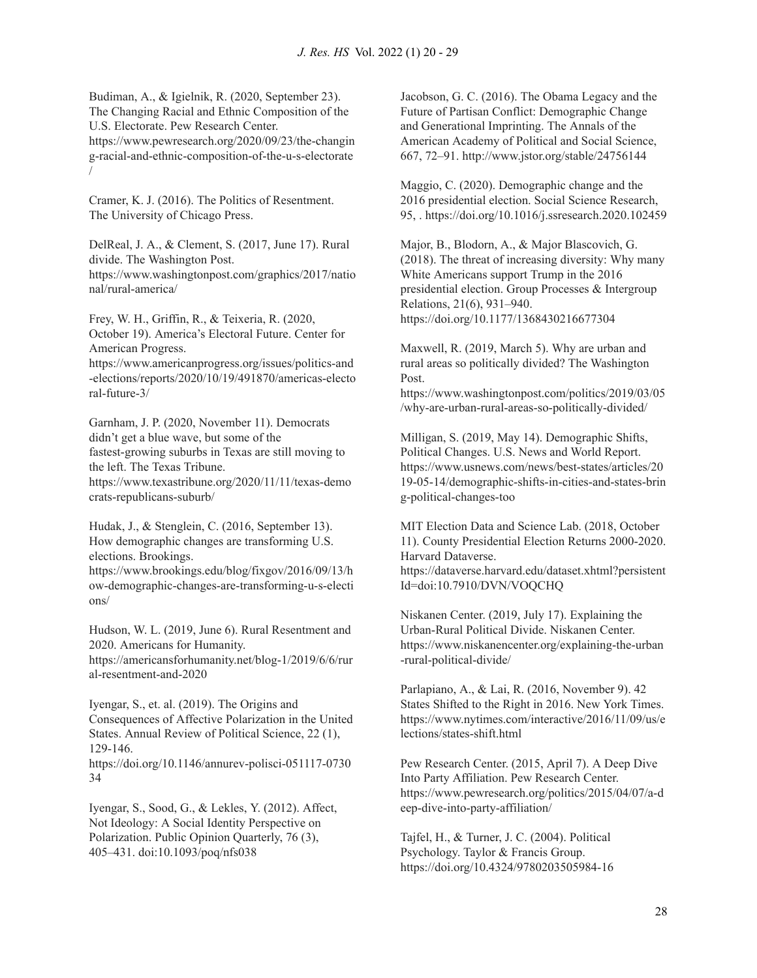Budiman, A., & Igielnik, R. (2020, September 23). The Changing Racial and Ethnic Composition of the U.S. Electorate. Pew Research Center. https://www.pewresearch.org/2020/09/23/the-changin g-racial-and-ethnic-composition-of-the-u-s-electorate /

Cramer, K. J. (2016). The Politics of Resentment. The University of Chicago Press.

DelReal, J. A., & Clement, S. (2017, June 17). Rural divide. The Washington Post. https://www.washingtonpost.com/graphics/2017/natio nal/rural-america/

Frey, W. H., Griffin, R., & Teixeria, R. (2020, October 19). America's Electoral Future. Center for American Progress.

https://www.americanprogress.org/issues/politics-and -elections/reports/2020/10/19/491870/americas-electo ral-future-3/

Garnham, J. P. (2020, November 11). Democrats didn't get a blue wave, but some of the fastest-growing suburbs in Texas are still moving to the left. The Texas Tribune. https://www.texastribune.org/2020/11/11/texas-demo crats-republicans-suburb/

Hudak, J., & Stenglein, C. (2016, September 13). How demographic changes are transforming U.S. elections. Brookings.

https://www.brookings.edu/blog/fixgov/2016/09/13/h ow-demographic-changes-are-transforming-u-s-electi ons/

Hudson, W. L. (2019, June 6). Rural Resentment and 2020. Americans for Humanity. https://americansforhumanity.net/blog-1/2019/6/6/rur al-resentment-and-2020

Iyengar, S., et. al. (2019). The Origins and Consequences of Affective Polarization in the United States. Annual Review of Political Science, 22 (1), 129-146.

https://doi.org/10.1146/annurev-polisci-051117-0730 34

Iyengar, S., Sood, G., & Lekles, Y. (2012). Affect, Not Ideology: A Social Identity Perspective on Polarization. Public Opinion Quarterly, 76 (3), 405–431. doi:10.1093/poq/nfs038

Jacobson, G. C. (2016). The Obama Legacy and the Future of Partisan Conflict: Demographic Change and Generational Imprinting. The Annals of the American Academy of Political and Social Science, 667, 72–91. http://www.jstor.org/stable/24756144

Maggio, C. (2020). Demographic change and the 2016 presidential election. Social Science Research, 95, . https://doi.org/10.1016/j.ssresearch.2020.102459

Major, B., Blodorn, A., & Major Blascovich, G. (2018). The threat of increasing diversity: Why many White Americans support Trump in the 2016 presidential election. Group Processes & Intergroup Relations, 21(6), 931–940. https://doi.org/10.1177/1368430216677304

Maxwell, R. (2019, March 5). Why are urban and rural areas so politically divided? The Washington Post.

https://www.washingtonpost.com/politics/2019/03/05 /why-are-urban-rural-areas-so-politically-divided/

Milligan, S. (2019, May 14). Demographic Shifts, Political Changes. U.S. News and World Report. https://www.usnews.com/news/best-states/articles/20 19-05-14/demographic-shifts-in-cities-and-states-brin g-political-changes-too

MIT Election Data and Science Lab. (2018, October 11). County Presidential Election Returns 2000-2020. Harvard Dataverse.

https://dataverse.harvard.edu/dataset.xhtml?persistent Id=doi:10.7910/DVN/VOQCHQ

Niskanen Center. (2019, July 17). Explaining the Urban-Rural Political Divide. Niskanen Center. https://www.niskanencenter.org/explaining-the-urban -rural-political-divide/

Parlapiano, A., & Lai, R. (2016, November 9). 42 States Shifted to the Right in 2016. New York Times. https://www.nytimes.com/interactive/2016/11/09/us/e lections/states-shift.html

Pew Research Center. (2015, April 7). A Deep Dive Into Party Affiliation. Pew Research Center. https://www.pewresearch.org/politics/2015/04/07/a-d eep-dive-into-party-affiliation/

Tajfel, H., & Turner, J. C. (2004). Political Psychology. Taylor & Francis Group. https://doi.org/10.4324/9780203505984-16